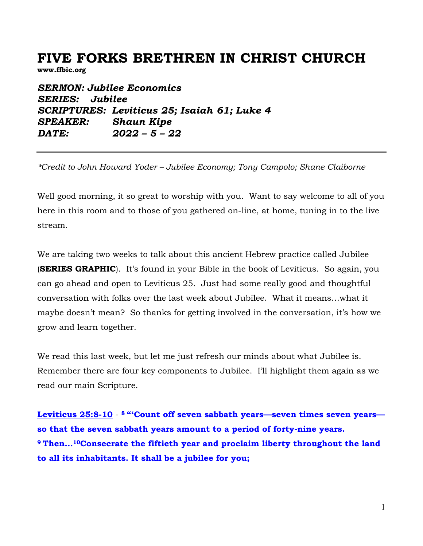# **FIVE FORKS BRETHREN IN CHRIST CHURCH**

**www.ffbic.org**

*SERMON: Jubilee Economics SERIES: Jubilee SCRIPTURES: Leviticus 25; Isaiah 61; Luke 4 SPEAKER: Shaun Kipe DATE: 2022 – 5 – 22* 

*\*Credit to John Howard Yoder – Jubilee Economy; Tony Campolo; Shane Claiborne*

Well good morning, it so great to worship with you. Want to say welcome to all of you here in this room and to those of you gathered on-line, at home, tuning in to the live stream.

We are taking two weeks to talk about this ancient Hebrew practice called Jubilee (**SERIES GRAPHIC**). It's found in your Bible in the book of Leviticus. So again, you can go ahead and open to Leviticus 25. Just had some really good and thoughtful conversation with folks over the last week about Jubilee. What it means…what it maybe doesn't mean? So thanks for getting involved in the conversation, it's how we grow and learn together.

We read this last week, but let me just refresh our minds about what Jubilee is. Remember there are four key components to Jubilee. I'll highlight them again as we read our main Scripture.

**Leviticus 25:8-10** - **<sup>8</sup> "'Count off seven sabbath years—seven times seven years so that the seven sabbath years amount to a period of forty-nine years. <sup>9</sup> Then…10Consecrate the fiftieth year and proclaim liberty throughout the land to all its inhabitants. It shall be a jubilee for you;**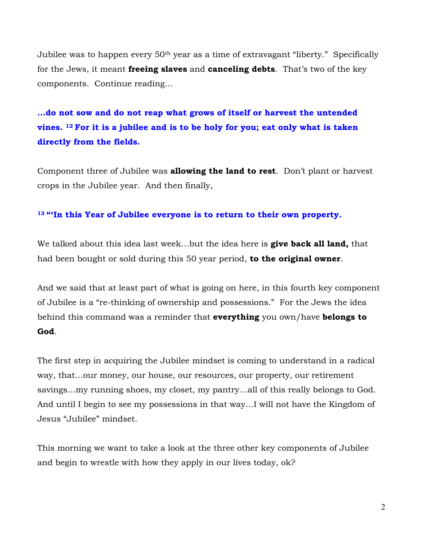Jubilee was to happen every 50th year as a time of extravagant "liberty." Specifically for the Jews, it meant **freeing slaves** and **canceling debts**. That's two of the key components. Continue reading…

# **…do not sow and do not reap what grows of itself or harvest the untended vines. 12 For it is a jubilee and is to be holy for you; eat only what is taken directly from the fields.**

Component three of Jubilee was **allowing the land to rest**. Don't plant or harvest crops in the Jubilee year. And then finally,

#### **<sup>13</sup> "'In this Year of Jubilee everyone is to return to their own property.**

We talked about this idea last week…but the idea here is **give back all land,** that had been bought or sold during this 50 year period, **to the original owner**.

And we said that at least part of what is going on here, in this fourth key component of Jubilee is a "re-thinking of ownership and possessions." For the Jews the idea behind this command was a reminder that **everything** you own/have **belongs to God**.

The first step in acquiring the Jubilee mindset is coming to understand in a radical way, that…our money, our house, our resources, our property, our retirement savings…my running shoes, my closet, my pantry…all of this really belongs to God. And until I begin to see my possessions in that way…I will not have the Kingdom of Jesus "Jubilee" mindset.

This morning we want to take a look at the three other key components of Jubilee and begin to wrestle with how they apply in our lives today, ok?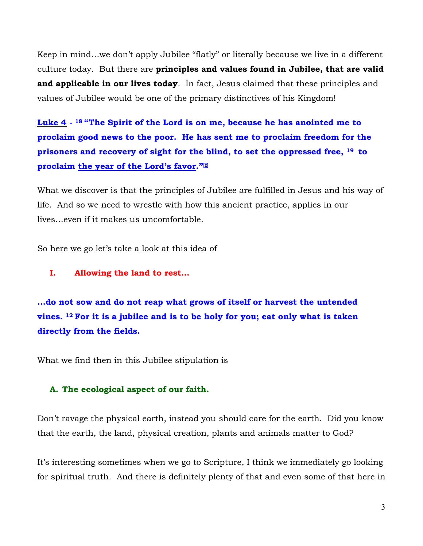Keep in mind…we don't apply Jubilee "flatly" or literally because we live in a different culture today. But there are **principles and values found in Jubilee, that are valid and applicable in our lives today**. In fact, Jesus claimed that these principles and values of Jubilee would be one of the primary distinctives of his Kingdom!

**Luke 4 - <sup>18</sup> "The Spirit of the Lord is on me, because he has anointed me to proclaim good news to the poor. He has sent me to proclaim freedom for the prisoners and recovery of sight for the blind, to set the oppressed free, <sup>19</sup> to proclaim the year of the Lord's favor."[f]**

What we discover is that the principles of Jubilee are fulfilled in Jesus and his way of life. And so we need to wrestle with how this ancient practice, applies in our lives…even if it makes us uncomfortable.

So here we go let's take a look at this idea of

**I. Allowing the land to rest…**

**…do not sow and do not reap what grows of itself or harvest the untended vines. 12 For it is a jubilee and is to be holy for you; eat only what is taken directly from the fields.**

What we find then in this Jubilee stipulation is

#### **A. The ecological aspect of our faith.**

Don't ravage the physical earth, instead you should care for the earth. Did you know that the earth, the land, physical creation, plants and animals matter to God?

It's interesting sometimes when we go to Scripture, I think we immediately go looking for spiritual truth. And there is definitely plenty of that and even some of that here in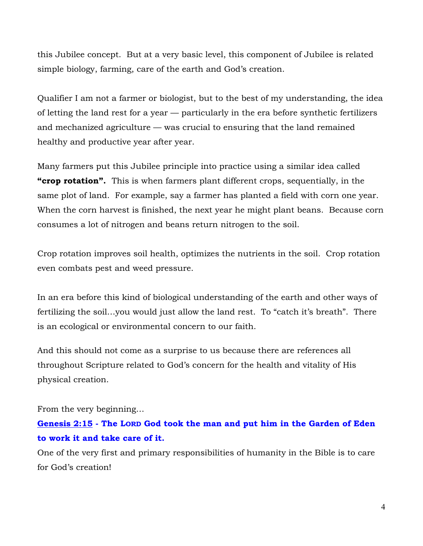this Jubilee concept. But at a very basic level, this component of Jubilee is related simple biology, farming, care of the earth and God's creation.

Qualifier I am not a farmer or biologist, but to the best of my understanding, the idea of letting the land rest for a year — particularly in the era before synthetic fertilizers and mechanized agriculture — was crucial to ensuring that the land remained healthy and productive year after year.

Many farmers put this Jubilee principle into practice using a similar idea called **"crop rotation".** This is when farmers plant different crops, sequentially, in the same plot of land. For example, say a farmer has planted a field with corn one year. When the corn harvest is finished, the next year he might plant beans. Because corn consumes a lot of nitrogen and beans return nitrogen to the soil.

Crop rotation improves soil health, optimizes the nutrients in the soil. Crop rotation even combats pest and weed pressure.

In an era before this kind of biological understanding of the earth and other ways of fertilizing the soil…you would just allow the land rest. To "catch it's breath". There is an ecological or environmental concern to our faith.

And this should not come as a surprise to us because there are references all throughout Scripture related to God's concern for the health and vitality of His physical creation.

From the very beginning…

### **Genesis 2:15 - The LORD God took the man and put him in the Garden of Eden to work it and take care of it.**

One of the very first and primary responsibilities of humanity in the Bible is to care for God's creation!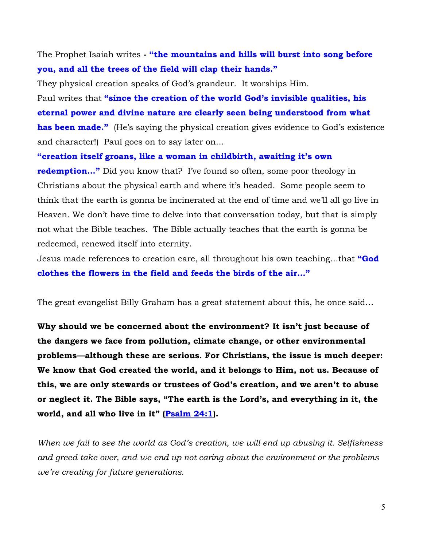The Prophet Isaiah writes **- "the mountains and hills will burst into song before you, and all the trees of the field will clap their hands."**

They physical creation speaks of God's grandeur. It worships Him.

Paul writes that **"since the creation of the world God's invisible qualities, his eternal power and divine nature are clearly seen being understood from what has been made."** (He's saying the physical creation gives evidence to God's existence and character!) Paul goes on to say later on…

**"creation itself groans, like a woman in childbirth, awaiting it's own redemption...**" Did you know that? I've found so often, some poor theology in Christians about the physical earth and where it's headed. Some people seem to think that the earth is gonna be incinerated at the end of time and we'll all go live in Heaven. We don't have time to delve into that conversation today, but that is simply not what the Bible teaches. The Bible actually teaches that the earth is gonna be redeemed, renewed itself into eternity.

Jesus made references to creation care, all throughout his own teaching…that **"God clothes the flowers in the field and feeds the birds of the air…"**

The great evangelist Billy Graham has a great statement about this, he once said…

**Why should we be concerned about the environment? It isn't just because of the dangers we face from pollution, climate change, or other environmental problems—although these are serious. For Christians, the issue is much deeper: We know that God created the world, and it belongs to Him, not us. Because of this, we are only stewards or trustees of God's creation, and we aren't to abuse or neglect it. The Bible says, "The earth is the Lord's, and everything in it, the world, and all who live in it" (Psalm 24:1).**

*When we fail to see the world as God's creation, we will end up abusing it. Selfishness and greed take over, and we end up not caring about the environment or the problems we're creating for future generations.*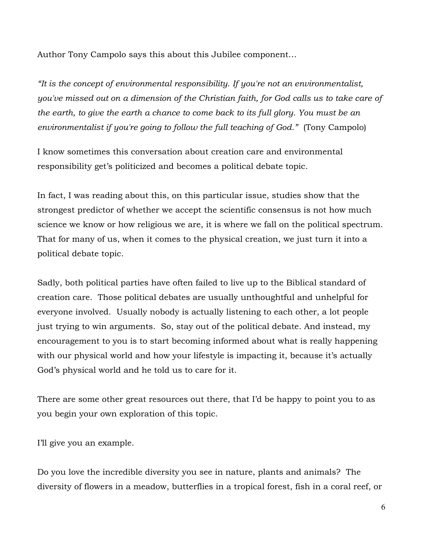Author Tony Campolo says this about this Jubilee component…

*"It is the concept of environmental responsibility. If you're not an environmentalist, you've missed out on a dimension of the Christian faith, for God calls us to take care of the earth, to give the earth a chance to come back to its full glory. You must be an environmentalist if you're going to follow the full teaching of God."* (Tony Campolo)

I know sometimes this conversation about creation care and environmental responsibility get's politicized and becomes a political debate topic.

In fact, I was reading about this, on this particular issue, studies show that the strongest predictor of whether we accept the scientific consensus is not how much science we know or how religious we are, it is where we fall on the political spectrum. That for many of us, when it comes to the physical creation, we just turn it into a political debate topic.

Sadly, both political parties have often failed to live up to the Biblical standard of creation care. Those political debates are usually unthoughtful and unhelpful for everyone involved. Usually nobody is actually listening to each other, a lot people just trying to win arguments. So, stay out of the political debate. And instead, my encouragement to you is to start becoming informed about what is really happening with our physical world and how your lifestyle is impacting it, because it's actually God's physical world and he told us to care for it.

There are some other great resources out there, that I'd be happy to point you to as you begin your own exploration of this topic.

I'll give you an example.

Do you love the incredible diversity you see in nature, plants and animals? The diversity of flowers in a meadow, butterflies in a tropical forest, fish in a coral reef, or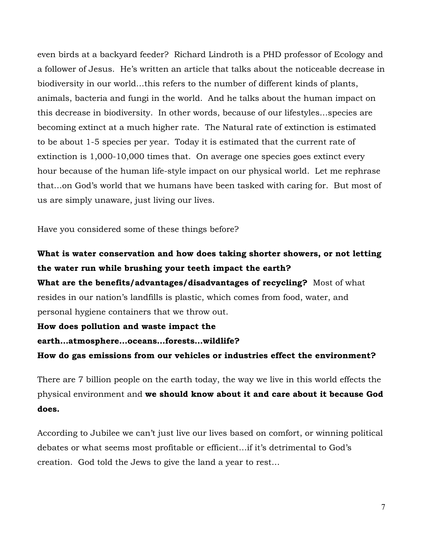even birds at a backyard feeder? Richard Lindroth is a PHD professor of Ecology and a follower of Jesus. He's written an article that talks about the noticeable decrease in biodiversity in our world…this refers to the number of different kinds of plants, animals, bacteria and fungi in the world. And he talks about the human impact on this decrease in biodiversity. In other words, because of our lifestyles…species are becoming extinct at a much higher rate. The Natural rate of extinction is estimated to be about 1-5 species per year. Today it is estimated that the current rate of extinction is 1,000-10,000 times that. On average one species goes extinct every hour because of the human life-style impact on our physical world. Let me rephrase that…on God's world that we humans have been tasked with caring for. But most of us are simply unaware, just living our lives.

Have you considered some of these things before?

## **What is water conservation and how does taking shorter showers, or not letting the water run while brushing your teeth impact the earth?**

**What are the benefits/advantages/disadvantages of recycling?** Most of what resides in our nation's landfills is plastic, which comes from food, water, and personal hygiene containers that we throw out.

#### **How does pollution and waste impact the**

#### **earth…atmosphere…oceans…forests…wildlife?**

**How do gas emissions from our vehicles or industries effect the environment?** 

There are 7 billion people on the earth today, the way we live in this world effects the physical environment and **we should know about it and care about it because God does.**

According to Jubilee we can't just live our lives based on comfort, or winning political debates or what seems most profitable or efficient…if it's detrimental to God's creation. God told the Jews to give the land a year to rest…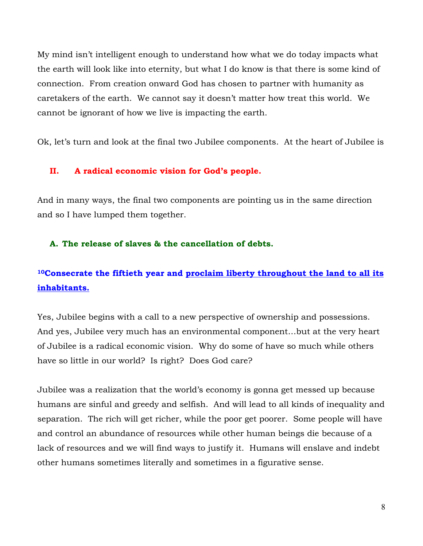My mind isn't intelligent enough to understand how what we do today impacts what the earth will look like into eternity, but what I do know is that there is some kind of connection. From creation onward God has chosen to partner with humanity as caretakers of the earth. We cannot say it doesn't matter how treat this world. We cannot be ignorant of how we live is impacting the earth.

Ok, let's turn and look at the final two Jubilee components. At the heart of Jubilee is

#### **II. A radical economic vision for God's people.**

And in many ways, the final two components are pointing us in the same direction and so I have lumped them together.

#### **A. The release of slaves & the cancellation of debts.**

# **10Consecrate the fiftieth year and proclaim liberty throughout the land to all its inhabitants.**

Yes, Jubilee begins with a call to a new perspective of ownership and possessions. And yes, Jubilee very much has an environmental component…but at the very heart of Jubilee is a radical economic vision. Why do some of have so much while others have so little in our world? Is right? Does God care?

Jubilee was a realization that the world's economy is gonna get messed up because humans are sinful and greedy and selfish. And will lead to all kinds of inequality and separation. The rich will get richer, while the poor get poorer. Some people will have and control an abundance of resources while other human beings die because of a lack of resources and we will find ways to justify it. Humans will enslave and indebt other humans sometimes literally and sometimes in a figurative sense.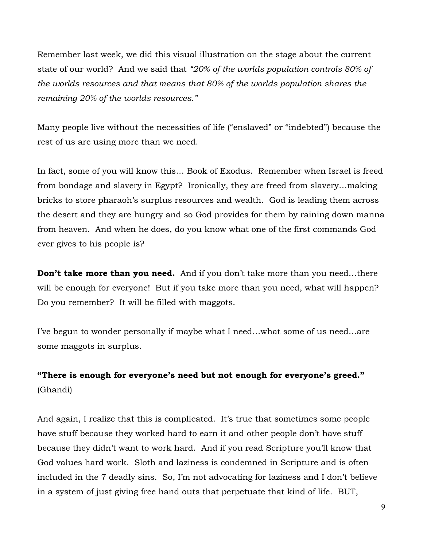Remember last week, we did this visual illustration on the stage about the current state of our world? And we said that *"20% of the worlds population controls 80% of the worlds resources and that means that 80% of the worlds population shares the remaining 20% of the worlds resources."*

Many people live without the necessities of life ("enslaved" or "indebted") because the rest of us are using more than we need.

In fact, some of you will know this… Book of Exodus. Remember when Israel is freed from bondage and slavery in Egypt? Ironically, they are freed from slavery…making bricks to store pharaoh's surplus resources and wealth. God is leading them across the desert and they are hungry and so God provides for them by raining down manna from heaven. And when he does, do you know what one of the first commands God ever gives to his people is?

**Don't take more than you need.** And if you don't take more than you need...there will be enough for everyone! But if you take more than you need, what will happen? Do you remember? It will be filled with maggots.

I've begun to wonder personally if maybe what I need…what some of us need…are some maggots in surplus.

# **"There is enough for everyone's need but not enough for everyone's greed."** (Ghandi)

And again, I realize that this is complicated. It's true that sometimes some people have stuff because they worked hard to earn it and other people don't have stuff because they didn't want to work hard. And if you read Scripture you'll know that God values hard work. Sloth and laziness is condemned in Scripture and is often included in the 7 deadly sins. So, I'm not advocating for laziness and I don't believe in a system of just giving free hand outs that perpetuate that kind of life. BUT,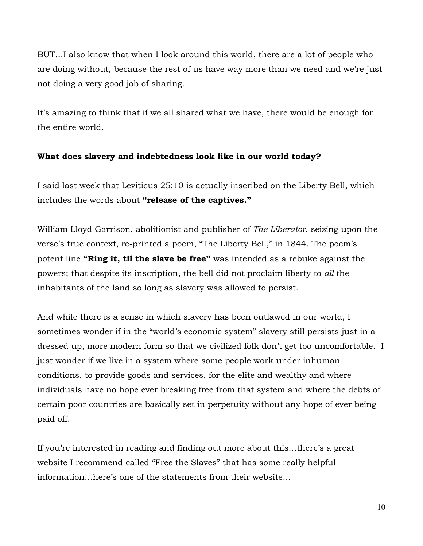BUT…I also know that when I look around this world, there are a lot of people who are doing without, because the rest of us have way more than we need and we're just not doing a very good job of sharing.

It's amazing to think that if we all shared what we have, there would be enough for the entire world.

#### **What does slavery and indebtedness look like in our world today?**

I said last week that Leviticus 25:10 is actually inscribed on the Liberty Bell, which includes the words about **"release of the captives."**

William Lloyd Garrison, abolitionist and publisher of *The Liberator*, seizing upon the verse's true context, re-printed a poem, "The Liberty Bell," in 1844. The poem's potent line **"Ring it, til the slave be free"** was intended as a rebuke against the powers; that despite its inscription, the bell did not proclaim liberty to *all* the inhabitants of the land so long as slavery was allowed to persist.

And while there is a sense in which slavery has been outlawed in our world, I sometimes wonder if in the "world's economic system" slavery still persists just in a dressed up, more modern form so that we civilized folk don't get too uncomfortable. I just wonder if we live in a system where some people work under inhuman conditions, to provide goods and services, for the elite and wealthy and where individuals have no hope ever breaking free from that system and where the debts of certain poor countries are basically set in perpetuity without any hope of ever being paid off.

If you're interested in reading and finding out more about this…there's a great website I recommend called "Free the Slaves" that has some really helpful information…here's one of the statements from their website…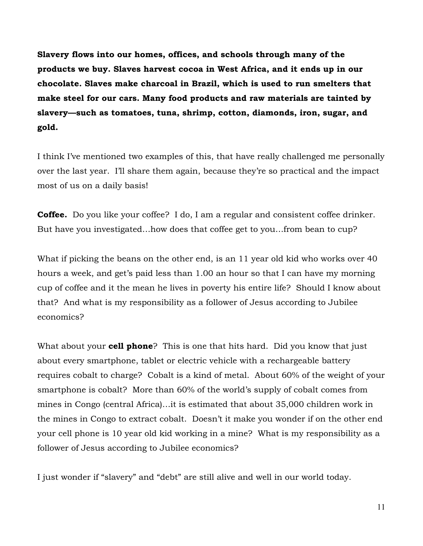**Slavery flows into our homes, offices, and schools through many of the products we buy. Slaves harvest cocoa in West Africa, and it ends up in our chocolate. Slaves make charcoal in Brazil, which is used to run smelters that make steel for our cars. Many food products and raw materials are tainted by slavery—such as tomatoes, tuna, shrimp, cotton, diamonds, iron, sugar, and gold.**

I think I've mentioned two examples of this, that have really challenged me personally over the last year. I'll share them again, because they're so practical and the impact most of us on a daily basis!

**Coffee.** Do you like your coffee? I do, I am a regular and consistent coffee drinker. But have you investigated…how does that coffee get to you…from bean to cup?

What if picking the beans on the other end, is an 11 year old kid who works over 40 hours a week, and get's paid less than 1.00 an hour so that I can have my morning cup of coffee and it the mean he lives in poverty his entire life? Should I know about that? And what is my responsibility as a follower of Jesus according to Jubilee economics?

What about your **cell phone**? This is one that hits hard. Did you know that just about every smartphone, tablet or electric vehicle with a rechargeable battery requires cobalt to charge? Cobalt is a kind of metal. About 60% of the weight of your smartphone is cobalt? More than 60% of the world's supply of cobalt comes from mines in Congo (central Africa)…it is estimated that about 35,000 children work in the mines in Congo to extract cobalt. Doesn't it make you wonder if on the other end your cell phone is 10 year old kid working in a mine? What is my responsibility as a follower of Jesus according to Jubilee economics?

I just wonder if "slavery" and "debt" are still alive and well in our world today.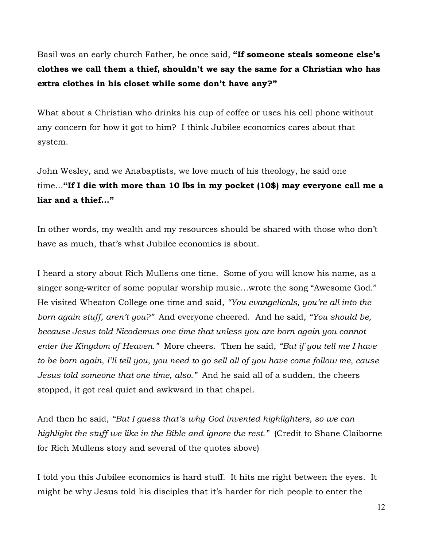Basil was an early church Father, he once said, **"If someone steals someone else's clothes we call them a thief, shouldn't we say the same for a Christian who has extra clothes in his closet while some don't have any?"**

What about a Christian who drinks his cup of coffee or uses his cell phone without any concern for how it got to him? I think Jubilee economics cares about that system.

John Wesley, and we Anabaptists, we love much of his theology, he said one time…**"If I die with more than 10 lbs in my pocket (10\$) may everyone call me a liar and a thief…"**

In other words, my wealth and my resources should be shared with those who don't have as much, that's what Jubilee economics is about.

I heard a story about Rich Mullens one time. Some of you will know his name, as a singer song-writer of some popular worship music…wrote the song "Awesome God." He visited Wheaton College one time and said, *"You evangelicals, you're all into the born again stuff, aren't you?"* And everyone cheered. And he said, *"You should be, because Jesus told Nicodemus one time that unless you are born again you cannot enter the Kingdom of Heaven."* More cheers. Then he said, *"But if you tell me I have to be born again, I'll tell you, you need to go sell all of you have come follow me, cause Jesus told someone that one time, also."* And he said all of a sudden, the cheers stopped, it got real quiet and awkward in that chapel.

And then he said, *"But I guess that's why God invented highlighters, so we can highlight the stuff we like in the Bible and ignore the rest."* (Credit to Shane Claiborne for Rich Mullens story and several of the quotes above)

I told you this Jubilee economics is hard stuff. It hits me right between the eyes. It might be why Jesus told his disciples that it's harder for rich people to enter the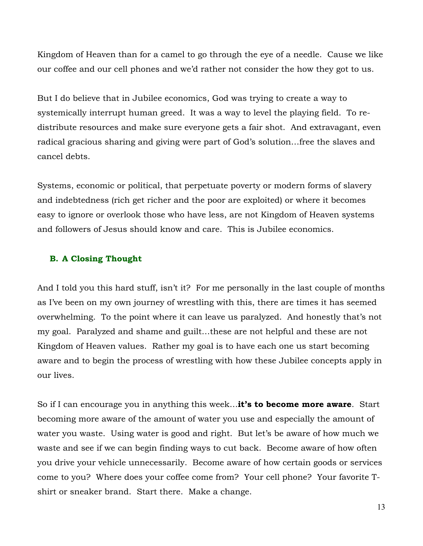Kingdom of Heaven than for a camel to go through the eye of a needle. Cause we like our coffee and our cell phones and we'd rather not consider the how they got to us.

But I do believe that in Jubilee economics, God was trying to create a way to systemically interrupt human greed. It was a way to level the playing field. To redistribute resources and make sure everyone gets a fair shot. And extravagant, even radical gracious sharing and giving were part of God's solution…free the slaves and cancel debts.

Systems, economic or political, that perpetuate poverty or modern forms of slavery and indebtedness (rich get richer and the poor are exploited) or where it becomes easy to ignore or overlook those who have less, are not Kingdom of Heaven systems and followers of Jesus should know and care. This is Jubilee economics.

#### **B. A Closing Thought**

And I told you this hard stuff, isn't it? For me personally in the last couple of months as I've been on my own journey of wrestling with this, there are times it has seemed overwhelming. To the point where it can leave us paralyzed. And honestly that's not my goal. Paralyzed and shame and guilt…these are not helpful and these are not Kingdom of Heaven values. Rather my goal is to have each one us start becoming aware and to begin the process of wrestling with how these Jubilee concepts apply in our lives.

So if I can encourage you in anything this week…**it's to become more aware**. Start becoming more aware of the amount of water you use and especially the amount of water you waste. Using water is good and right. But let's be aware of how much we waste and see if we can begin finding ways to cut back. Become aware of how often you drive your vehicle unnecessarily. Become aware of how certain goods or services come to you? Where does your coffee come from? Your cell phone? Your favorite Tshirt or sneaker brand. Start there. Make a change.